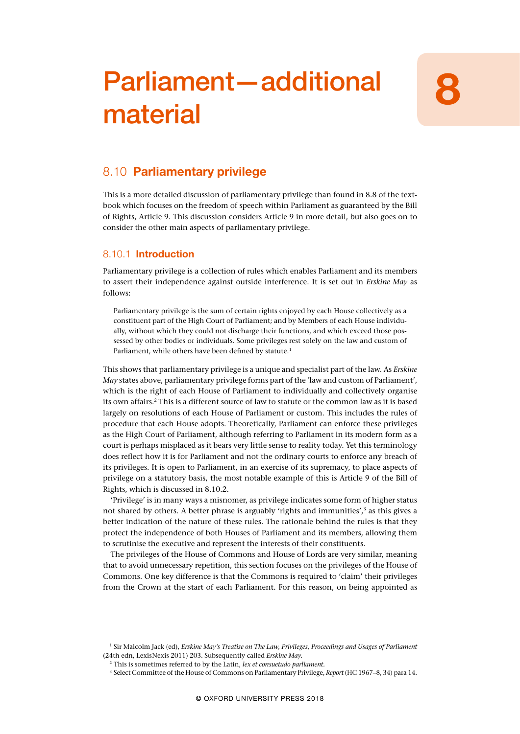# Parliament—additional material

## 8.10 Parliamentary privilege

This is a more detailed discussion of parliamentary privilege than found in 8.8 of the textbook which focuses on the freedom of speech within Parliament as guaranteed by the Bill of Rights, Article 9. This discussion considers Article 9 in more detail, but also goes on to consider the other main aspects of parliamentary privilege.

## 8.10.1 Introduction

Parliamentary privilege is a collection of rules which enables Parliament and its members to assert their independence against outside interference. It is set out in *Erskine May* as follows:

Parliamentary privilege is the sum of certain rights enjoyed by each House collectively as a constituent part of the High Court of Parliament; and by Members of each House individually, without which they could not discharge their functions, and which exceed those possessed by other bodies or individuals. Some privileges rest solely on the law and custom of Parliament, while others have been defined by statute.<sup>1</sup>

This shows that parliamentary privilege is a unique and specialist part of the law. As *Erskine May* states above, parliamentary privilege forms part of the 'law and custom of Parliament', which is the right of each House of Parliament to individually and collectively organise its own affairs.<sup>2</sup> This is a different source of law to statute or the common law as it is based largely on resolutions of each House of Parliament or custom. This includes the rules of procedure that each House adopts. Theoretically, Parliament can enforce these privileges as the High Court of Parliament, although referring to Parliament in its modern form as a court is perhaps misplaced as it bears very little sense to reality today. Yet this terminology does reflect how it is for Parliament and not the ordinary courts to enforce any breach of its privileges. It is open to Parliament, in an exercise of its supremacy, to place aspects of privilege on a statutory basis, the most notable example of this is Article 9 of the Bill of Rights, which is discussed in 8.10.2.

'Privilege' is in many ways a misnomer, as privilege indicates some form of higher status not shared by others. A better phrase is arguably 'rights and immunities', $3$  as this gives a better indication of the nature of these rules. The rationale behind the rules is that they protect the independence of both Houses of Parliament and its members, allowing them to scrutinise the executive and represent the interests of their constituents.

The privileges of the House of Commons and House of Lords are very similar, meaning that to avoid unnecessary repetition, this section focuses on the privileges of the House of Commons. One key difference is that the Commons is required to 'claim' their privileges from the Crown at the start of each Parliament. For this reason, on being appointed as

<sup>1</sup> Sir Malcolm Jack (ed), *Erskine May's Treatise on The Law, Privileges, Proceedings and Usages of Parliament* (24th edn, Lexis Nexis 2011) 203. Subsequently called *Erskine May.*

<sup>2</sup> This is sometimes referred to by the Latin, *lex et consuetudo parliament.*

<sup>3</sup> Select Committee of the House of Commons on Parliamentary Privilege, *Report* (HC 1967–8, 34) para 14.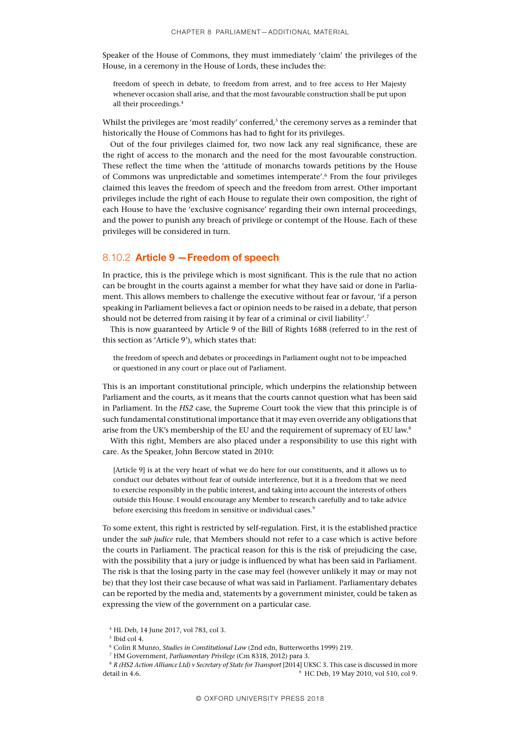Speaker of the House of Commons, they must immediately 'claim' the privileges of the House, in a ceremony in the House of Lords, these includes the:

freedom of speech in debate, to freedom from arrest, and to free access to Her Majesty whenever occasion shall arise, and that the most favourable construction shall be put upon all their proceedings.4

Whilst the privileges are 'most readily' conferred,<sup>5</sup> the ceremony serves as a reminder that historically the House of Commons has had to fight for its privileges.

Out of the four privileges claimed for, two now lack any real significance, these are the right of access to the monarch and the need for the most favourable construction. These reflect the time when the 'attitude of monarchs towards petitions by the House of Commons was unpredictable and sometimes intemperate'.6 From the four privileges claimed this leaves the freedom of speech and the freedom from arrest. Other important privileges include the right of each House to regulate their own composition, the right of each House to have the 'exclusive cognisance' regarding their own internal proceedings, and the power to punish any breach of privilege or contempt of the House. Each of these privileges will be considered in turn.

## 8.10.2 Article 9 —Freedom of speech

In practice, this is the privilege which is most significant. This is the rule that no action can be brought in the courts against a member for what they have said or done in Parliament. This allows members to challenge the executive without fear or favour, 'if a person speaking in Parliament believes a fact or opinion needs to be raised in a debate, that person should not be deterred from raising it by fear of a criminal or civil liability'.<sup>7</sup>

This is now guaranteed by Article 9 of the Bill of Rights 1688 (referred to in the rest of this section as 'Article 9'), which states that:

the freedom of speech and debates or proceedings in Parliament ought not to be impeached or questioned in any court or place out of Parliament.

This is an important constitutional principle, which underpins the relationship between Parliament and the courts, as it means that the courts cannot question what has been said in Parliament. In the *HS2* case, the Supreme Court took the view that this principle is of such fundamental constitutional importance that it may even override any obligations that arise from the UK's membership of the EU and the requirement of supremacy of EU law.8

With this right, Members are also placed under a responsibility to use this right with care. As the Speaker, John Bercow stated in 2010:

[Article 9] is at the very heart of what we do here for our constituents, and it allows us to conduct our debates without fear of outside interference, but it is a freedom that we need to exercise responsibly in the public interest, and taking into account the interests of others outside this House. I would encourage any Member to research carefully and to take advice before exercising this freedom in sensitive or individual cases. $^9$ 

To some extent, this right is restricted by self-regulation. First, it is the established practice under the *sub judice* rule, that Members should not refer to a case which is active before the courts in Parliament. The practical reason for this is the risk of prejudicing the case, with the possibility that a jury or judge is influenced by what has been said in Parliament. The risk is that the losing party in the case may feel (however unlikely it may or may not be) that they lost their case because of what was said in Parliament. Parliamentary debates can be reported by the media and, statements by a government minister, could be taken as expressing the view of the government on a particular case.

- <sup>6</sup> Colin R Munro, *Studies in Constitutional Law* (2nd edn, Butterworths 1999) 219.
- <sup>7</sup> HM Government, *Parliamentary Privilege* (Cm 8318, 2012) para 3.

<sup>4</sup> HL Deb, 14 June 2017, vol 783, col 3.

<sup>5</sup> Ibid col 4.

<sup>8</sup> *R (HS2 Action Alliance Ltd) v Secretary of State for Transport* [2014] UKSC 3. This case is discussed in more detail in 4.6. <sup>9</sup> HC Deb, 19 May 2010, vol 510, col 9.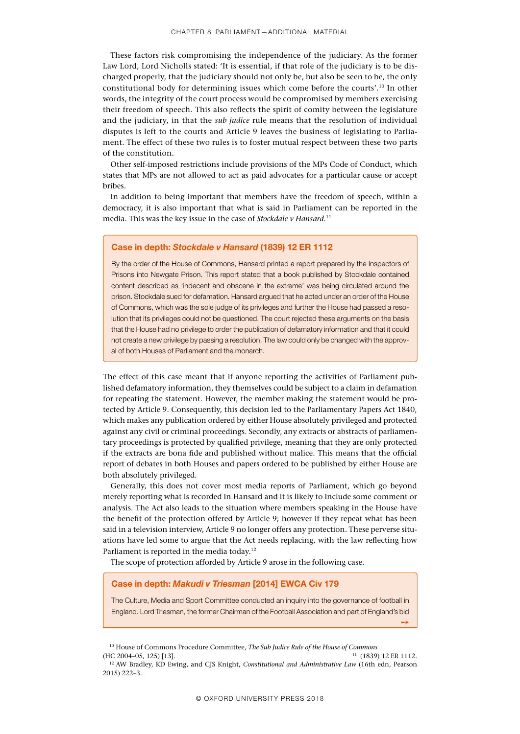These factors risk compromising the independence of the judiciary. As the former Law Lord, Lord Nicholls stated: 'It is essential, if that role of the judiciary is to be discharged properly, that the judiciary should not only be, but also be seen to be, the only constitutional body for determining issues which come before the courts'.10 In other words, the integrity of the court process would be compromised by members exercising their freedom of speech. This also reflects the spirit of comity between the legislature and the judiciary, in that the *sub judice* rule means that the resolution of individual disputes is left to the courts and Article 9 leaves the business of legislating to Parliament. The effect of these two rules is to foster mutual respect between these two parts of the constitution.

Other self-imposed restrictions include provisions of the MPs Code of Conduct, which states that MPs are not allowed to act as paid advocates for a particular cause or accept bribes.

In addition to being important that members have the freedom of speech, within a democracy, it is also important that what is said in Parliament can be reported in the media. This was the key issue in the case of *Stockdale v Hansard*. 11

## Case in depth: *Stockdale v Hansard* (1839) 12 ER 1112

By the order of the House of Commons, Hansard printed a report prepared by the Inspectors of Prisons into Newgate Prison. This report stated that a book published by Stockdale contained content described as 'indecent and obscene in the extreme' was being circulated around the prison. Stockdale sued for defamation. Hansard argued that he acted under an order of the House of Commons, which was the sole judge of its privileges and further the House had passed a resolution that its privileges could not be questioned. The court rejected these arguments on the basis that the House had no privilege to order the publication of defamatory information and that it could not create a new privilege by passing a resolution. The law could only be changed with the approval of both Houses of Parliament and the monarch.

The effect of this case meant that if anyone reporting the activities of Parliament published defamatory information, they themselves could be subject to a claim in defamation for repeating the statement. However, the member making the statement would be protected by Article 9. Consequently, this decision led to the Parliamentary Papers Act 1840, which makes any publication ordered by either House absolutely privileged and protected against any civil or criminal proceedings. Secondly, any extracts or abstracts of parliamentary proceedings is protected by qualified privilege, meaning that they are only protected if the extracts are bona fide and published without malice. This means that the official report of debates in both Houses and papers ordered to be published by either House are both absolutely privileged.

Generally, this does not cover most media reports of Parliament, which go beyond merely reporting what is recorded in Hansard and it is likely to include some comment or analysis. The Act also leads to the situation where members speaking in the House have the benefit of the protection offered by Article 9; however if they repeat what has been said in a television interview, Article 9 no longer offers any protection. These perverse situations have led some to argue that the Act needs replacing, with the law reflecting how Parliament is reported in the media today.<sup>12</sup>

The scope of protection afforded by Article 9 arose in the following case.

#### Case in depth: *Makudi v Triesman* [2014] EWCA Civ 179

The Culture, Media and Sport Committee conducted an inquiry into the governance of football in England. Lord Triesman, the former Chairman of the Football Association and part of England's bid

➙

<sup>10</sup> House of Commons Procedure Committee, *The Sub Judice Rule of the House of Commons*

<sup>(</sup>HC 2004–05, 125) [13]. <sup>11</sup> (1839) 12 ER 1112. <sup>12</sup> AW Bradley, KD Ewing, and CJS Knight, *Constitutional and Administrative Law* (16th edn, Pearson 2015) 222–3.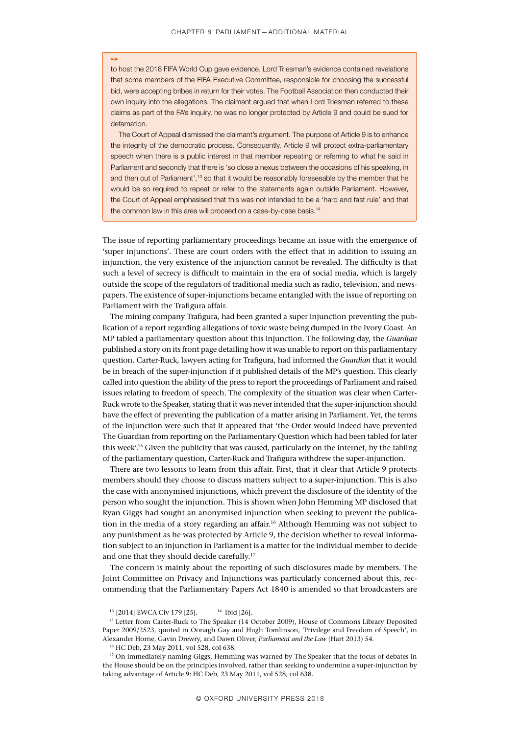➙

to host the 2018 FIFA World Cup gave evidence. Lord Triesman's evidence contained revelations that some members of the FIFA Executive Committee, responsible for choosing the successful bid, were accepting bribes in return for their votes. The Football Association then conducted their own inquiry into the allegations. The claimant argued that when Lord Triesman referred to these claims as part of the FA's inquiry, he was no longer protected by Article 9 and could be sued for defamation.

The Court of Appeal dismissed the claimant's argument. The purpose of Article 9 is to enhance the integrity of the democratic process. Consequently, Article 9 will protect extra-parliamentary speech when there is a public interest in that member repeating or referring to what he said in Parliament and secondly that there is 'so close a nexus between the occasions of his speaking, in and then out of Parliament',<sup>13</sup> so that it would be reasonably foreseeable by the member that he would be so required to repeat or refer to the statements again outside Parliament. However, the Court of Appeal emphasised that this was not intended to be a 'hard and fast rule' and that the common law in this area will proceed on a case-by-case basis.<sup>14</sup>

The issue of reporting parliamentary proceedings became an issue with the emergence of 'super injunctions'. These are court orders with the effect that in addition to issuing an injunction, the very existence of the injunction cannot be revealed. The difficulty is that such a level of secrecy is difficult to maintain in the era of social media, which is largely outside the scope of the regulators of traditional media such as radio, television, and newspapers. The existence of super-injunctions became entangled with the issue of reporting on Parliament with the Trafigura affair.

The mining company Trafigura, had been granted a super injunction preventing the publication of a report regarding allegations of toxic waste being dumped in the Ivory Coast. An MP tabled a parliamentary question about this injunction. The following day, the *Guardian* published a story on its front page detailing how it was unable to report on this parliamentary question. Carter-Ruck, lawyers acting for Trafigura, had informed the *Guardian* that it would be in breach of the super-injunction if it published details of the MP's question. This clearly called into question the ability of the press to report the proceedings of Parliament and raised issues relating to freedom of speech. The complexity of the situation was clear when Carter-Ruck wrote to the Speaker, stating that it was never intended that the super-injunction should have the effect of preventing the publication of a matter arising in Parliament. Yet, the terms of the injunction were such that it appeared that 'the Order would indeed have prevented The Guardian from reporting on the Parliamentary Question which had been tabled for later this week'.15 Given the publicity that was caused, particularly on the internet, by the tabling of the parliamentary question, Carter-Ruck and Trafigura withdrew the super-injunction.

There are two lessons to learn from this affair. First, that it clear that Article 9 protects members should they choose to discuss matters subject to a super-injunction. This is also the case with anonymised injunctions, which prevent the disclosure of the identity of the person who sought the injunction. This is shown when John Hemming MP disclosed that Ryan Giggs had sought an anonymised injunction when seeking to prevent the publication in the media of a story regarding an affair.<sup>16</sup> Although Hemming was not subject to any punishment as he was protected by Article 9, the decision whether to reveal information subject to an injunction in Parliament is a matter for the individual member to decide and one that they should decide carefully.<sup>17</sup>

The concern is mainly about the reporting of such disclosures made by members. The Joint Committee on Privacy and Injunctions was particularly concerned about this, recommending that the Parliamentary Papers Act 1840 is amended so that broadcasters are

<sup>&</sup>lt;sup>13</sup> [2014] EWCA Civ 179 [25]. <sup>14</sup> Ibid [26].

<sup>&</sup>lt;sup>15</sup> Letter from Carter-Ruck to The Speaker (14 October 2009), House of Commons Library Deposited Paper 2009/2523, quoted in Oonagh Gay and Hugh Tomlinson, 'Privilege and Freedom of Speech', in Alexander Horne, Gavin Drewry, and Dawn Oliver, *Parliament and the Law* (Hart 2013) 54.

<sup>16</sup> HC Deb, 23 May 2011, vol 528, col 638.

<sup>&</sup>lt;sup>17</sup> On immediately naming Giggs, Hemming was warned by The Speaker that the focus of debates in the House should be on the principles involved, rather than seeking to undermine a super-injunction by taking advantage of Article 9: HC Deb, 23 May 2011, vol 528, col 638.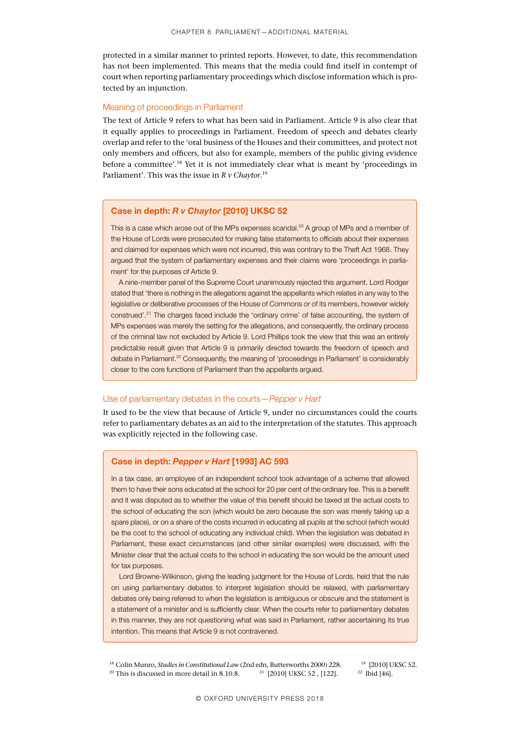protected in a similar manner to printed reports. However, to date, this recommendation has not been implemented. This means that the media could find itself in contempt of court when reporting parliamentary proceedings which disclose information which is protected by an injunction.

#### Meaning of proceedings in Parliament

The text of Article 9 refers to what has been said in Parliament. Article 9 is also clear that it equally applies to proceedings in Parliament. Freedom of speech and debates clearly overlap and refer to the 'oral business of the Houses and their committees, and protect not only members and officers, but also for example, members of the public giving evidence before a committee'.18 Yet it is not immediately clear what is meant by 'proceedings in Parliament'. This was the issue in *R v Chaytor*. 19

## Case in depth: *R v Chaytor* [2010] UKSC 52

This is a case which arose out of the MPs expenses scandal.<sup>20</sup> A group of MPs and a member of the House of Lords were prosecuted for making false statements to officials about their expenses and claimed for expenses which were not incurred, this was contrary to the Theft Act 1968. They argued that the system of parliamentary expenses and their claims were 'proceedings in parliament' for the purposes of Article 9.

A nine-member panel of the Supreme Court unanimously rejected this argument. Lord Rodger stated that 'there is nothing in the allegations against the appellants which relates in any way to the legislative or deliberative processes of the House of Commons or of its members, however widely construed'.21 The charges faced include the 'ordinary crime' of false accounting, the system of MPs expenses was merely the setting for the allegations, and consequently, the ordinary process of the criminal law not excluded by Article 9. Lord Phillips took the view that this was an entirely predictable result given that Article 9 is primarily directed towards the freedom of speech and debate in Parliament.<sup>22</sup> Consequently, the meaning of 'proceedings in Parliament' is considerably closer to the core functions of Parliament than the appellants argued.

## Use of parliamentary debates in the courts—*Pepper v Hart*

It used to be the view that because of Article 9, under no circumstances could the courts refer to parliamentary debates as an aid to the interpretation of the statutes. This approach was explicitly rejected in the following case.

## Case in depth: *Pepper v Hart* [1993] AC 593

In a tax case, an employee of an independent school took advantage of a scheme that allowed them to have their sons educated at the school for 20 per cent of the ordinary fee. This is a benefit and it was disputed as to whether the value of this benefit should be taxed at the actual costs to the school of educating the son (which would be zero because the son was merely taking up a spare place), or on a share of the costs incurred in educating all pupils at the school (which would be the cost to the school of educating any individual child). When the legislation was debated in Parliament, these exact circumstances (and other similar examples) were discussed, with the Minister clear that the actual costs to the school in educating the son would be the amount used for tax purposes.

Lord Browne-Wilkinson, giving the leading judgment for the House of Lords, held that the rule on using parliamentary debates to interpret legislation should be relaxed, with parliamentary debates only being referred to when the legislation is ambiguous or obscure and the statement is a statement of a minister and is sufficiently clear. When the courts refer to parliamentary debates in this manner, they are not questioning what was said in Parliament, rather ascertaining its true intention. This means that Article 9 is not contravened.

<sup>&</sup>lt;sup>18</sup> Colin Munro, *Studies in Constitutional Law* (2nd edn, Butterworths 2000) 228. <sup>19</sup> [2010] UKSC 52.<br><sup>20</sup> This is discussed in more detail in 8.10.8. <sup>21</sup> [2010] UKSC 52, [122]. <sup>22</sup> Ibid [46]. <sup>20</sup> This is discussed in more detail in 8.10.8. <sup>21</sup> [2010] UKSC 52, [122].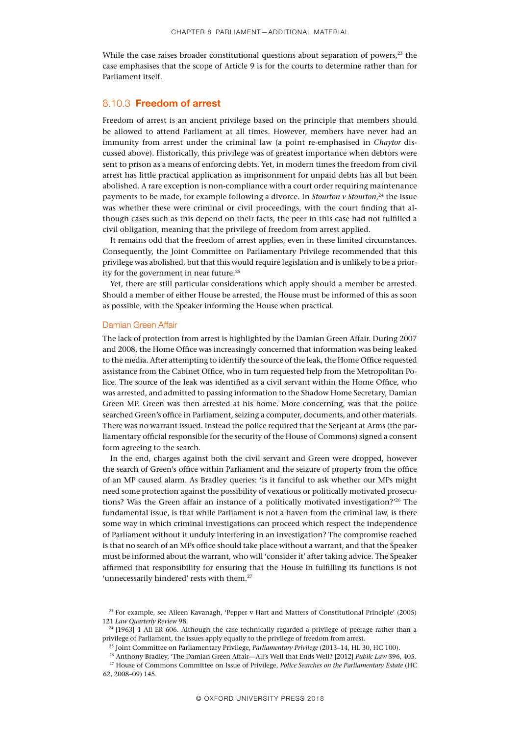While the case raises broader constitutional questions about separation of powers, $23$  the case emphasises that the scope of Article 9 is for the courts to determine rather than for Parliament itself.

## 8.10.3 Freedom of arrest

Freedom of arrest is an ancient privilege based on the principle that members should be allowed to attend Parliament at all times. However, members have never had an immunity from arrest under the criminal law (a point re-emphasised in *Chaytor* discussed above). Historically, this privilege was of greatest importance when debtors were sent to prison as a means of enforcing debts. Yet, in modern times the freedom from civil arrest has little practical application as imprisonment for unpaid debts has all but been abolished. A rare exception is non-compliance with a court order requiring maintenance payments to be made, for example following a divorce. In *Stourton v Stourton*, 24 the issue was whether these were criminal or civil proceedings, with the court finding that although cases such as this depend on their facts, the peer in this case had not fulfilled a civil obligation, meaning that the privilege of freedom from arrest applied.

It remains odd that the freedom of arrest applies, even in these limited circumstances. Consequently, the Joint Committee on Parliamentary Privilege recommended that this privilege was abolished, but that this would require legislation and is unlikely to be a priority for the government in near future.<sup>25</sup>

Yet, there are still particular considerations which apply should a member be arrested. Should a member of either House be arrested, the House must be informed of this as soon as possible, with the Speaker informing the House when practical.

#### Damian Green Affair

The lack of protection from arrest is highlighted by the Damian Green Affair. During 2007 and 2008, the Home Office was increasingly concerned that information was being leaked to the media. After attempting to identify the source of the leak, the Home Office requested assistance from the Cabinet Office, who in turn requested help from the Metropolitan Police. The source of the leak was identified as a civil servant within the Home Office, who was arrested, and admitted to passing information to the Shadow Home Secretary, Damian Green MP. Green was then arrested at his home. More concerning, was that the police searched Green's office in Parliament, seizing a computer, documents, and other materials. There was no warrant issued. Instead the police required that the Serjeant at Arms (the parliamentary official responsible for the security of the House of Commons) signed a consent form agreeing to the search.

In the end, charges against both the civil servant and Green were dropped, however the search of Green's office within Parliament and the seizure of property from the office of an MP caused alarm. As Bradley queries: 'is it fanciful to ask whether our MPs might need some protection against the possibility of vexatious or politically motivated prosecutions? Was the Green affair an instance of a politically motivated investigation?<sup>26</sup> The fundamental issue, is that while Parliament is not a haven from the criminal law, is there some way in which criminal investigations can proceed which respect the independence of Parliament without it unduly interfering in an investigation? The compromise reached is that no search of an MPs office should take place without a warrant, and that the Speaker must be informed about the warrant, who will 'consider it' after taking advice. The Speaker affirmed that responsibility for ensuring that the House in fulfilling its functions is not 'unnecessarily hindered' rests with them.<sup>27</sup>

<sup>23</sup> For example, see Aileen Kavanagh, 'Pepper v Hart and Matters of Constitutional Principle' (2005) 121 *Law Quarterly Review* 98.

<sup>&</sup>lt;sup>24</sup> [1963] 1 All ER 606. Although the case technically regarded a privilege of peerage rather than a privilege of Parliament, the issues apply equally to the privilege of freedom from arrest.

<sup>25</sup> Joint Committee on Parliamentary Privilege, *Parliamentary Privilege* (2013–14, HL 30, HC 100).

<sup>26</sup> Anthony Bradley, 'The Damian Green Affair—All's Well that Ends Well? [2012] *Public Law* 396, 405.

<sup>27</sup> House of Commons Committee on Issue of Privilege, *Police Searches on the Parliamentary Estate* (HC 62, 2008–09) 145.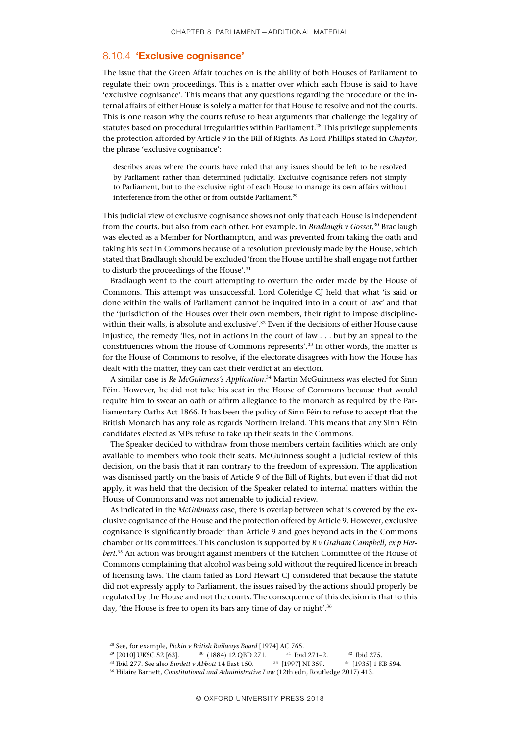## 8.10.4 'Exclusive cognisance'

The issue that the Green Affair touches on is the ability of both Houses of Parliament to regulate their own proceedings. This is a matter over which each House is said to have 'exclusive cognisance'. This means that any questions regarding the procedure or the internal affairs of either House is solely a matter for that House to resolve and not the courts. This is one reason why the courts refuse to hear arguments that challenge the legality of statutes based on procedural irregularities within Parliament.28 This privilege supplements the protection afforded by Article 9 in the Bill of Rights. As Lord Phillips stated in *Chaytor*, the phrase 'exclusive cognisance':

describes areas where the courts have ruled that any issues should be left to be resolved by Parliament rather than determined judicially. Exclusive cognisance refers not simply to Parliament, but to the exclusive right of each House to manage its own affairs without interference from the other or from outside Parliament.<sup>29</sup>

This judicial view of exclusive cognisance shows not only that each House is independent from the courts, but also from each other. For example, in *Bradlaugh v Gosset*, 30 Bradlaugh was elected as a Member for Northampton, and was prevented from taking the oath and taking his seat in Commons because of a resolution previously made by the House, which stated that Bradlaugh should be excluded 'from the House until he shall engage not further to disturb the proceedings of the House'.<sup>31</sup>

Bradlaugh went to the court attempting to overturn the order made by the House of Commons. This attempt was unsuccessful. Lord Coleridge CJ held that what 'is said or done within the walls of Parliament cannot be inquired into in a court of law' and that the 'jurisdiction of the Houses over their own members, their right to impose disciplinewithin their walls, is absolute and exclusive'.<sup>32</sup> Even if the decisions of either House cause injustice, the remedy 'lies, not in actions in the court of law . . . but by an appeal to the constituencies whom the House of Commons represents'.33 In other words, the matter is for the House of Commons to resolve, if the electorate disagrees with how the House has dealt with the matter, they can cast their verdict at an election.

A similar case is *Re McGuinness's Application*. 34 Martin McGuinness was elected for Sinn Féin. However, he did not take his seat in the House of Commons because that would require him to swear an oath or affirm allegiance to the monarch as required by the Parliamentary Oaths Act 1866. It has been the policy of Sinn Féin to refuse to accept that the British Monarch has any role as regards Northern Ireland. This means that any Sinn Féin candidates elected as MPs refuse to take up their seats in the Commons.

The Speaker decided to withdraw from those members certain facilities which are only available to members who took their seats. McGuinness sought a judicial review of this decision, on the basis that it ran contrary to the freedom of expression. The application was dismissed partly on the basis of Article 9 of the Bill of Rights, but even if that did not apply, it was held that the decision of the Speaker related to internal matters within the House of Commons and was not amenable to judicial review.

As indicated in the *McGuinness* case, there is overlap between what is covered by the exclusive cognisance of the House and the protection offered by Article 9. However, exclusive cognisance is significantly broader than Article 9 and goes beyond acts in the Commons chamber or its committees. This conclusion is supported by *R v Graham Campbell, ex p Herbert.*35 An action was brought against members of the Kitchen Committee of the House of Commons complaining that alcohol was being sold without the required licence in breach of licensing laws. The claim failed as Lord Hewart CJ considered that because the statute did not expressly apply to Parliament, the issues raised by the actions should properly be regulated by the House and not the courts. The consequence of this decision is that to this day, 'the House is free to open its bars any time of day or night'.<sup>36</sup>

<sup>&</sup>lt;sup>28</sup> See, for example, *Pickin v British Railways Board* [1974] AC 765.<br><sup>29</sup> [2010] UKSC 52 [63]. <sup>30</sup> (1884) 12 QBD 271. <sup>31</sup> Ibid 271–2.

<sup>&</sup>lt;sup>30</sup> (1884) 12 QBD 271. <sup>31</sup> Ibid 271–2. <sup>32</sup> Ibid 275.<br>*Abbott* 14 East 150. <sup>34</sup> [1997] NI 359. <sup>35</sup> [1935] 1 KB 594. <sup>33</sup> Ibid 277. See also *Burdett v Abbott* 14 East 150.

<sup>36</sup> Hilaire Barnett, *Constitutional and Administrative Law* (12th edn, Routledge 2017) 413.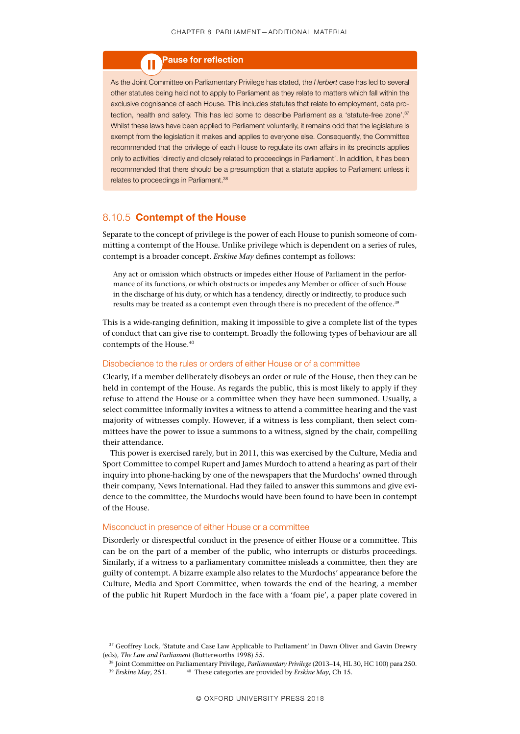## Pause for reflection

As the Joint Committee on Parliamentary Privilege has stated, the *Herbert* case has led to several other statutes being held not to apply to Parliament as they relate to matters which fall within the exclusive cognisance of each House. This includes statutes that relate to employment, data protection, health and safety. This has led some to describe Parliament as a 'statute-free zone'.37 Whilst these laws have been applied to Parliament voluntarily, it remains odd that the legislature is exempt from the legislation it makes and applies to everyone else. Consequently, the Committee recommended that the privilege of each House to regulate its own affairs in its precincts applies only to activities 'directly and closely related to proceedings in Parliament'. In addition, it has been recommended that there should be a presumption that a statute applies to Parliament unless it relates to proceedings in Parliament.<sup>38</sup>

## 8.10.5 Contempt of the House

Separate to the concept of privilege is the power of each House to punish someone of committing a contempt of the House. Unlike privilege which is dependent on a series of rules, contempt is a broader concept. *Erskine May* defines contempt as follows:

Any act or omission which obstructs or impedes either House of Parliament in the performance of its functions, or which obstructs or impedes any Member or officer of such House in the discharge of his duty, or which has a tendency, directly or indirectly, to produce such results may be treated as a contempt even through there is no precedent of the offence.<sup>39</sup>

This is a wide-ranging definition, making it impossible to give a complete list of the types of conduct that can give rise to contempt. Broadly the following types of behaviour are all contempts of the House.<sup>40</sup>

### Disobedience to the rules or orders of either House or of a committee

Clearly, if a member deliberately disobeys an order or rule of the House, then they can be held in contempt of the House. As regards the public, this is most likely to apply if they refuse to attend the House or a committee when they have been summoned. Usually, a select committee informally invites a witness to attend a committee hearing and the vast majority of witnesses comply. However, if a witness is less compliant, then select committees have the power to issue a summons to a witness, signed by the chair, compelling their attendance.

This power is exercised rarely, but in 2011, this was exercised by the Culture, Media and Sport Committee to compel Rupert and James Murdoch to attend a hearing as part of their inquiry into phone-hacking by one of the newspapers that the Murdochs' owned through their company, News International. Had they failed to answer this summons and give evidence to the committee, the Murdochs would have been found to have been in contempt of the House.

#### Misconduct in presence of either House or a committee

Disorderly or disrespectful conduct in the presence of either House or a committee. This can be on the part of a member of the public, who interrupts or disturbs proceedings. Similarly, if a witness to a parliamentary committee misleads a committee, then they are guilty of contempt. A bizarre example also relates to the Murdochs' appearance before the Culture, Media and Sport Committee, when towards the end of the hearing, a member of the public hit Rupert Murdoch in the face with a 'foam pie', a paper plate covered in

<sup>&</sup>lt;sup>37</sup> Geoffrey Lock, 'Statute and Case Law Applicable to Parliament' in Dawn Oliver and Gavin Drewry (eds), *The Law and Parliament* (Butterworths 1998) 55.

<sup>38</sup> Joint Committee on Parliamentary Privilege, *Parliamentary Privilege* (2013–14, HL 30, HC 100) para 250. <sup>40</sup> These categories are provided by *Erskine May*, Ch 15.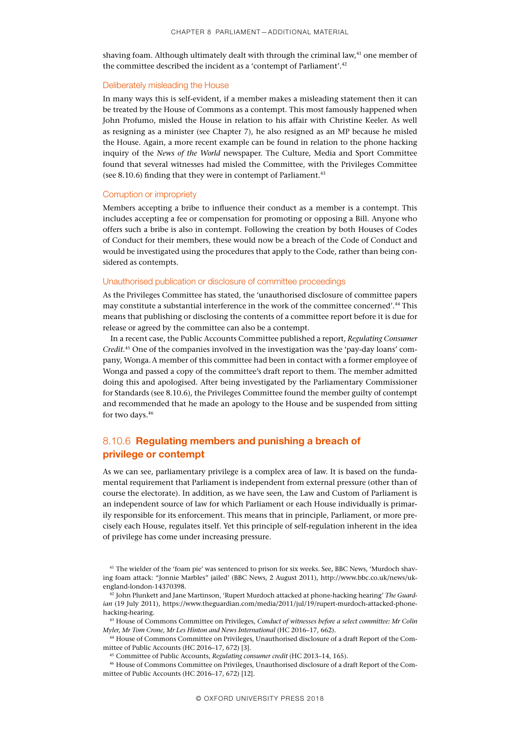shaving foam. Although ultimately dealt with through the criminal law, $41$  one member of the committee described the incident as a 'contempt of Parliament'.<sup>42</sup>

#### Deliberately misleading the House

In many ways this is self-evident, if a member makes a misleading statement then it can be treated by the House of Commons as a contempt. This most famously happened when John Profumo, misled the House in relation to his affair with Christine Keeler. As well as resigning as a minister (see Chapter 7), he also resigned as an MP because he misled the House. Again, a more recent example can be found in relation to the phone hacking inquiry of the *News of the World* newspaper. The Culture, Media and Sport Committee found that several witnesses had misled the Committee, with the Privileges Committee (see 8.10.6) finding that they were in contempt of Parliament. $43$ 

### Corruption or impropriety

Members accepting a bribe to influence their conduct as a member is a contempt. This includes accepting a fee or compensation for promoting or opposing a Bill. Anyone who offers such a bribe is also in contempt. Following the creation by both Houses of Codes of Conduct for their members, these would now be a breach of the Code of Conduct and would be investigated using the procedures that apply to the Code, rather than being considered as contempts.

## Unauthorised publication or disclosure of committee proceedings

As the Privileges Committee has stated, the 'unauthorised disclosure of committee papers may constitute a substantial interference in the work of the committee concerned'.44 This means that publishing or disclosing the contents of a committee report before it is due for release or agreed by the committee can also be a contempt.

In a recent case, the Public Accounts Committee published a report, *Regulating Consumer Credit*. 45 One of the companies involved in the investigation was the 'pay-day loans' company, Wonga.A member of this committee had been in contact with a former employee of Wonga and passed a copy of the committee's draft report to them. The member admitted doing this and apologised. After being investigated by the Parliamentary Commissioner for Standards (see 8.10.6), the Privileges Committee found the member guilty of contempt and recommended that he made an apology to the House and be suspended from sitting for two days.<sup>46</sup>

## 8.10.6 Regulating members and punishing a breach of privilege or contempt

As we can see, parliamentary privilege is a complex area of law. It is based on the fundamental requirement that Parliament is independent from external pressure (other than of course the electorate). In addition, as we have seen, the Law and Custom of Parliament is an independent source of law for which Parliament or each House individually is primarily responsible for its enforcement. This means that in principle, Parliament, or more precisely each House, regulates itself. Yet this principle of self-regulation inherent in the idea of privilege has come under increasing pressure.

<sup>43</sup> House of Commons Committee on Privileges, *Conduct of witnesses before a select committee: Mr Colin Myler, Mr Tom Crone, Mr Les Hinton and News International* (HC 2016–17, 662).

<sup>44</sup> House of Commons Committee on Privileges, Unauthorised disclosure of a draft Report of the Committee of Public Accounts (HC 2016–17, 672) [3].

<sup>45</sup> Committee of Public Accounts, *Regulating consumer credit* (HC 2013–14, 165).

<sup>46</sup> House of Commons Committee on Privileges, Unauthorised disclosure of a draft Report of the Committee of Public Accounts (HC 2016–17, 672) [12].

<sup>41</sup> The wielder of the 'foam pie' was sentenced to prison for six weeks. See, BBC News, 'Murdoch shaving foam attack: "Jonnie Marbles" jailed' (BBC News, 2 August 2011), http://www.bbc.co.uk/news/ukengland-london-14370398.

<sup>42</sup> John Plunkett and Jane Martinson, 'Rupert Murdoch attacked at phone-hacking hearing' *The Guardian* (19 July 2011), https://www.theguardian.com/media/2011/jul/19/rupert-murdoch-attacked-phonehacking-hearing.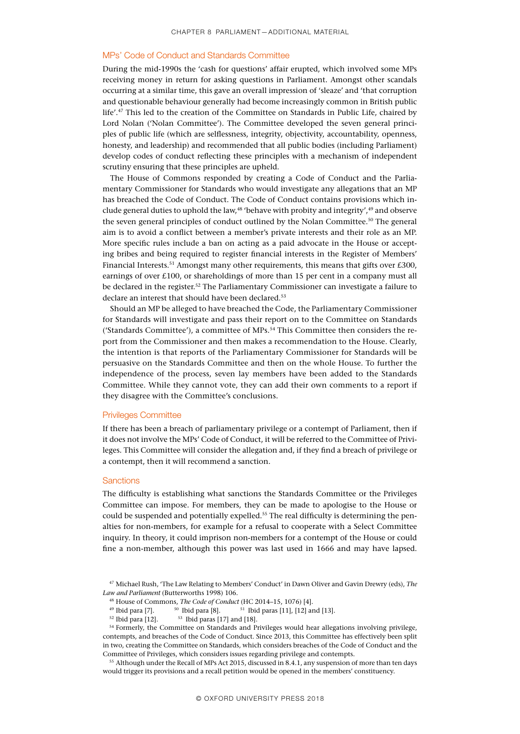#### MPs' Code of Conduct and Standards Committee

During the mid-1990s the 'cash for questions' affair erupted, which involved some MPs receiving money in return for asking questions in Parliament. Amongst other scandals occurring at a similar time, this gave an overall impression of 'sleaze' and 'that corruption and questionable behaviour generally had become increasingly common in British public life'.47 This led to the creation of the Committee on Standards in Public Life, chaired by Lord Nolan ('Nolan Committee'). The Committee developed the seven general principles of public life (which are selflessness, integrity, objectivity, accountability, openness, honesty, and leadership) and recommended that all public bodies (including Parliament) develop codes of conduct reflecting these principles with a mechanism of independent scrutiny ensuring that these principles are upheld.

The House of Commons responded by creating a Code of Conduct and the Parliamentary Commissioner for Standards who would investigate any allegations that an MP has breached the Code of Conduct. The Code of Conduct contains provisions which include general duties to uphold the law,<sup>48</sup> 'behave with probity and integrity',<sup>49</sup> and observe the seven general principles of conduct outlined by the Nolan Committee.<sup>50</sup> The general aim is to avoid a conflict between a member's private interests and their role as an MP. More specific rules include a ban on acting as a paid advocate in the House or accepting bribes and being required to register financial interests in the Register of Members' Financial Interests.<sup>51</sup> Amongst many other requirements, this means that gifts over £300, earnings of over £100, or shareholdings of more than 15 per cent in a company must all be declared in the register.52 The Parliamentary Commissioner can investigate a failure to declare an interest that should have been declared.<sup>53</sup>

Should an MP be alleged to have breached the Code, the Parliamentary Commissioner for Standards will investigate and pass their report on to the Committee on Standards ('Standards Committee'), a committee of MPs.54 This Committee then considers the report from the Commissioner and then makes a recommendation to the House. Clearly, the intention is that reports of the Parliamentary Commissioner for Standards will be persuasive on the Standards Committee and then on the whole House. To further the independence of the process, seven lay members have been added to the Standards Committee. While they cannot vote, they can add their own comments to a report if they disagree with the Committee's conclusions.

#### Privileges Committee

If there has been a breach of parliamentary privilege or a contempt of Parliament, then if it does not involve the MPs' Code of Conduct, it will be referred to the Committee of Privileges. This Committee will consider the allegation and, if they find a breach of privilege or a contempt, then it will recommend a sanction.

#### **Sanctions**

The difficulty is establishing what sanctions the Standards Committee or the Privileges Committee can impose. For members, they can be made to apologise to the House or could be suspended and potentially expelled.55 The real difficulty is determining the penalties for non-members, for example for a refusal to cooperate with a Select Committee inquiry. In theory, it could imprison non-members for a contempt of the House or could fine a non-member, although this power was last used in 1666 and may have lapsed.

 $52$  Ibid para [12].  $53$  Ibid paras [17] and [18].

<sup>47</sup> Michael Rush, 'The Law Relating to Members' Conduct' in Dawn Oliver and Gavin Drewry (eds), *The Law and Parliament* (Butterworths 1998) 106.

<sup>&</sup>lt;sup>48</sup> House of Commons, *The Code of Conduct* (HC 2014–15, 1076) [4].<br><sup>49</sup> Ibid para [7]. <sup>50</sup> Ibid para [8]. <sup>51</sup> Ibid paras [11], [12] ar  $^{50}$  Ibid para [8].  $^{51}$  Ibid paras [11], [12] and [13].

<sup>&</sup>lt;sup>54</sup> Formerly, the Committee on Standards and Privileges would hear allegations involving privilege, contempts, and breaches of the Code of Conduct. Since 2013, this Committee has effectively been split in two, creating the Committee on Standards, which considers breaches of the Code of Conduct and the Committee of Privileges, which considers issues regarding privilege and contempts.

<sup>55</sup> Although under the Recall of MPs Act 2015, discussed in 8.4.1, any suspension of more than ten days would trigger its provisions and a recall petition would be opened in the members' constituency.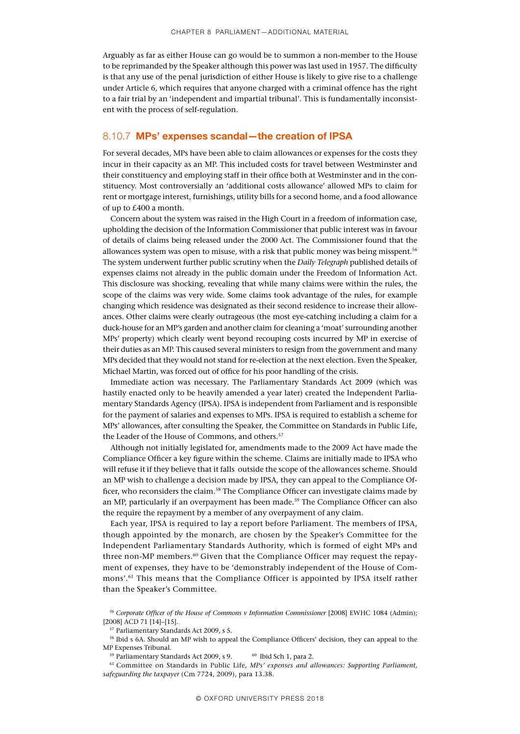Arguably as far as either House can go would be to summon a non-member to the House to be reprimanded by the Speaker although this power was last used in 1957. The difficulty is that any use of the penal jurisdiction of either House is likely to give rise to a challenge under Article 6, which requires that anyone charged with a criminal offence has the right to a fair trial by an 'independent and impartial tribunal'. This is fundamentally inconsistent with the process of self-regulation.

## 8.10.7 MPs' expenses scandal - the creation of IPSA

For several decades, MPs have been able to claim allowances or expenses for the costs they incur in their capacity as an MP. This included costs for travel between Westminster and their constituency and employing staff in their office both at Westminster and in the constituency. Most controversially an 'additional costs allowance' allowed MPs to claim for rent or mortgage interest, furnishings, utility bills for a second home, and a food allowance of up to £400 a month.

Concern about the system was raised in the High Court in a freedom of information case, upholding the decision of the Information Commissioner that public interest was in favour of details of claims being released under the 2000 Act. The Commissioner found that the allowances system was open to misuse, with a risk that public money was being misspent.56 The system underwent further public scrutiny when the *Daily Telegraph* published details of expenses claims not already in the public domain under the Freedom of Information Act. This disclosure was shocking, revealing that while many claims were within the rules, the scope of the claims was very wide. Some claims took advantage of the rules, for example changing which residence was designated as their second residence to increase their allowances. Other claims were clearly outrageous (the most eye-catching including a claim for a duck-house for an MP's garden and another claim for cleaning a 'moat' surrounding another MPs' property) which clearly went beyond recouping costs incurred by MP in exercise of their duties as an MP. This caused several ministers to resign from the government and many MPs decided that they would not stand for re-election at the next election. Even the Speaker, Michael Martin, was forced out of office for his poor handling of the crisis.

Immediate action was necessary. The Parliamentary Standards Act 2009 (which was hastily enacted only to be heavily amended a year later) created the Independent Parliamentary Standards Agency (IPSA). IPSA is independent from Parliament and is responsible for the payment of salaries and expenses to MPs. IPSA is required to establish a scheme for MPs' allowances, after consulting the Speaker, the Committee on Standards in Public Life, the Leader of the House of Commons, and others.<sup>57</sup>

Although not initially legislated for, amendments made to the 2009 Act have made the Compliance Officer a key figure within the scheme. Claims are initially made to IPSA who will refuse it if they believe that it falls outside the scope of the allowances scheme. Should an MP wish to challenge a decision made by IPSA, they can appeal to the Compliance Officer, who reconsiders the claim.<sup>58</sup> The Compliance Officer can investigate claims made by an MP, particularly if an overpayment has been made.59 The Compliance Officer can also the require the repayment by a member of any overpayment of any claim.

Each year, IPSA is required to lay a report before Parliament. The members of IPSA, though appointed by the monarch, are chosen by the Speaker's Committee for the Independent Parliamentary Standards Authority, which is formed of eight MPs and three non-MP members.<sup>60</sup> Given that the Compliance Officer may request the repayment of expenses, they have to be 'demonstrably independent of the House of Commons'.61 This means that the Compliance Officer is appointed by IPSA itself rather than the Speaker's Committee.

<sup>56</sup> *Corporate Officer of the House of Commons v Information Commissioner* [2008] EWHC 1084 (Admin); [2008] ACD 71 [14]-[15].

<sup>57</sup> Parliamentary Standards Act 2009, s 5.

<sup>58</sup> Ibid s 6A. Should an MP wish to appeal the Compliance Officers' decision, they can appeal to the MP Expenses Tribunal.

 $^{59}$  Parliamentary Standards Act 2009, s 9.  $^{60}$  Ibid Sch 1, para 2.

<sup>61</sup> Committee on Standards in Public Life, *MPs' expenses and allowances: Supporting Parliament, safeguarding the taxpayer* (Cm 7724, 2009), para 13.38.